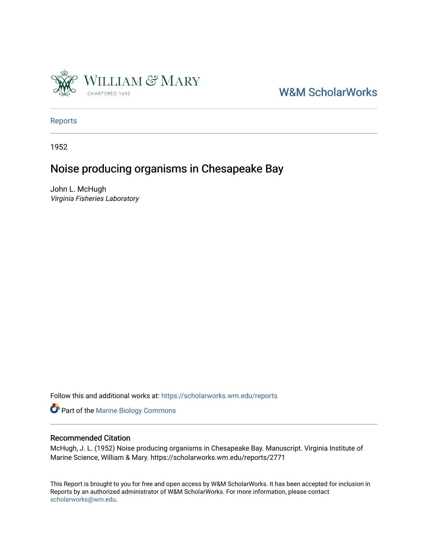

[W&M ScholarWorks](https://scholarworks.wm.edu/) 

[Reports](https://scholarworks.wm.edu/reports)

1952

# Noise producing organisms in Chesapeake Bay

John L. McHugh Virginia Fisheries Laboratory

Follow this and additional works at: [https://scholarworks.wm.edu/reports](https://scholarworks.wm.edu/reports?utm_source=scholarworks.wm.edu%2Freports%2F2771&utm_medium=PDF&utm_campaign=PDFCoverPages)

Part of the [Marine Biology Commons](https://network.bepress.com/hgg/discipline/1126?utm_source=scholarworks.wm.edu%2Freports%2F2771&utm_medium=PDF&utm_campaign=PDFCoverPages) 

## Recommended Citation

McHugh, J. L. (1952) Noise producing organisms in Chesapeake Bay. Manuscript. Virginia Institute of Marine Science, William & Mary. https://scholarworks.wm.edu/reports/2771

This Report is brought to you for free and open access by W&M ScholarWorks. It has been accepted for inclusion in Reports by an authorized administrator of W&M ScholarWorks. For more information, please contact [scholarworks@wm.edu.](mailto:scholarworks@wm.edu)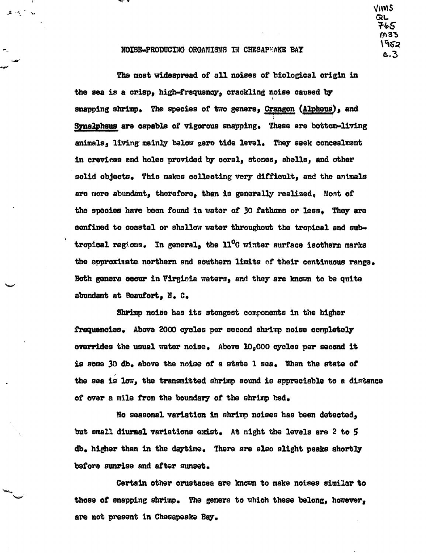NOISE-PRODUCING ORGANISMS IN CHESAPWAKE BAY

لوا ( <mark>م</mark>ا م

VIMS

c.3

QL そんぷ M33 1952

The most widespread of all noises of biological origin in the sea is a crisp, high-frequency, crackling noise caused by snapping shrimp. The species of two genera, Crangon (Alpheus), and Synalpheus are capable of vigorous snapping. These are bottom-living animals, living mainly below gero tide level. They seek concealment in crevices and holes provided by coral, stones, shells, and other solid objects. This makes collecting very difficult, and the animals are more abundant, therefore, then is generally realized. Most of the species have been found in water of 30 fathoms or less. They are confined to coastal or shallow water throughout the tropical and subtropical regions. In general, the  $11^{\circ}$ C winter surface isotherm marks the approximate northern and southern limits of their continuous range. Both genera occur in Virginia waters, and they are known to be quite abundant at Beaufort, N. C.

Shrimp noise has its stongest components in the higher frequencies. Above 2000 cycles per second shrimp noise completely overrides the usual water noise. Above 10,000 cycles per second it is some 30 db. above the noise of a state 1 sea. When the state of the sea is low, the transmitted shrimp sound is appreciable to a distance of over a mile from the boundary of the shrimp bed.

No seasonal variation in shrimp noises has been detected, but small diurnal variations exist. At night the levels are 2 to 5 db. higher than in the daytime. There are also slight peaks shortly before sunrise and after sunset.

Certain other crustacea are known to make noises similar to those of snapping shrimp. The genera to which these belong, however, are not present in Chesapeake Bay.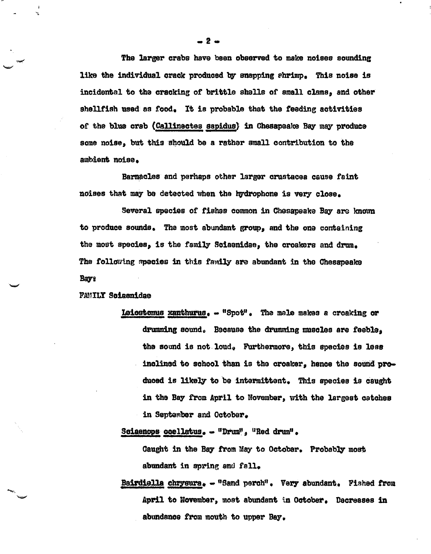The larger crabs have been observed to make noises sounding like the individual crack produced by snapping shrimp. This noise is incidental to the cracking or brittle shells of small clams, and other shellfish used as food. It is probable that the feeding activities or the blwa crab ( Callinactes sapidus} in Chesapeake Bay may produce some noise, but this should be a rather small contribution to the ambient noise.

Barnacles and perhaps other larger orustacea cause faint noises that may be detected when the hydrophone is very close.

Several species of fishss common in Chesapeake Bay are known to produce sounds. The most abundant group, and the one containing the most species, is the family Soiaenidae, the croakers and dram. The following species in this family are abundant in the Chesapeake Bays

### FAMILY Soiaenidae

-

Leiostomus xanthurus.  $-$  "Spot". The male makes a croaking or drumming sound. Because the drumming muscles are feeble. the sound is not loud. Furthermore, this species is less inclined to school than is the croaker, hence the sound produced is likely to be intermittent. This species is caught in the Bay from April to November, with the largest catches in September and October.

Sciaenops ocellatus. - "Drum", "Red drum".

Caught in the Bay from May to October. Probably most abundant in spring and fall.

Bairdiella chrysura. - "Sand perch". Very abundant. Fished from April to November, most abundant in October. Decreases in abundance fPOm mouth to uwer Bay.

— 2 ⊶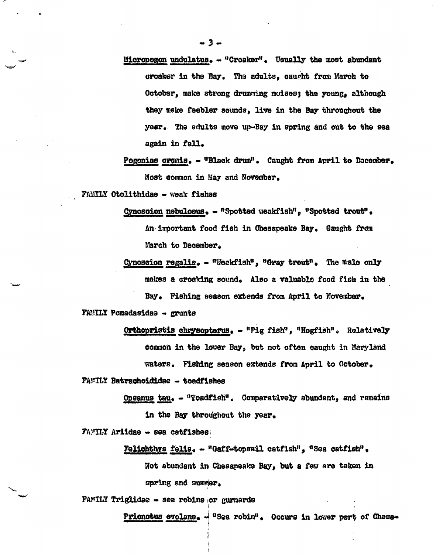- Micropogon undulatus.  $-$  "Croaker". Usually the most abundant croaker in the Bay. The adults, caught from March to October, make strong drumming noises; the young, although they make feebler sounds, live in the Bay throughout the year. The adults move up-Bay in spring and out to the sea again in fall.
- Pogonias oromis. "Black drum". Caught from April to December. Most common in May and November.

FAMILY Otolithidae - weak fishes

Cynoscion nebulosus. - "Spotted weakfish", "Spotted trout".

An important food fish in Chesapeake Bay. Gaught from March to December.

Cynosoion regalis. - "Weakfish", "Gray trout". The male only makes a croaking sound. Also a valuable food fish in the Bay. Fishing season extends from April to November.

FAMILY Pomadasidae - grunts

Orthopristis chrysopterus. - "Pig fish", "Hogfish". Relatively common in the lower Bay, but not often caught in Maryland waters. Fishing season extends from April to October.

FAMILY Batrachoididae - toadfishes

Opsanus tau. - "Toadfish". Comparatively abundant, and remains in the Bay throughout the year.

FAMILY Ariidae - sea catfishes

Felichthys felis. - "Gaff-topsail catfish", "Sea catfish".

Not abundant in Chesapeake Bay, but a few are taken in spring and summer.

FAMILY Triglidae - sea robins or gurnards

Prionotus evolans. - "Sea robin". Occurs in lower part of Chesa-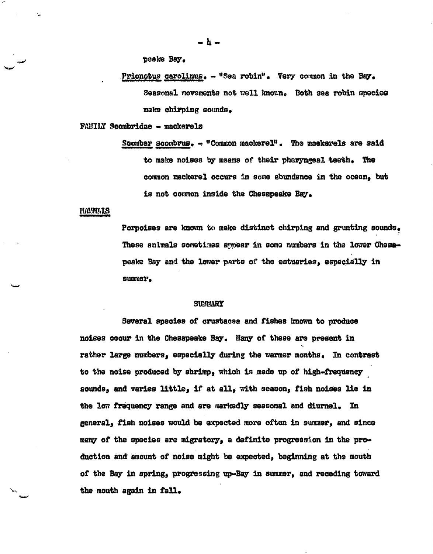peake Bay.

Prionotus carolinus.  $-$  "Sea robin". Very common in the Bay. Seasonal movements not well known. Both sea rebin species make chirping sounds.

FAMILY Scambri.dae - maclcerela

Scomber scombrus.  $-$  "Common mackerel". The mackerels are said to make noises by means of their pharyngeal teeth, The aommon maclcerel occurs in some abundance in the ocean, but is not common inside the Chesapeake Bay.

### **MAMMALS**

--

-·

Porpoises are known to make distinct chirping and grunting sounds. These animals sometimes~ in soma nwnbars in the lower **Oheaa**peake Bay and the lower perts of the estuaries, especially in summer.

#### **SUMMARY**

Sevenl **species** or crustacee and fishes known to produce noises occur in the Chesapeake Bay. Many of these are present in rather large numbers, especially during the warmer months. In contrast to the noise produced by shrimp, which is made up of high-frequency sounds, and varies little, if at all, with season, fish noises lie in the low frequency range and are markedly seasonal and diurnal. In general, fish noises would be expected more often in sumer, and sinee many of the species are migratory, a definite progression in the production and· amount of noise might be expected, beginning at the mouth of the Bay in spring, progressing up-Bay in summer, and receding toward the mouth again in fall.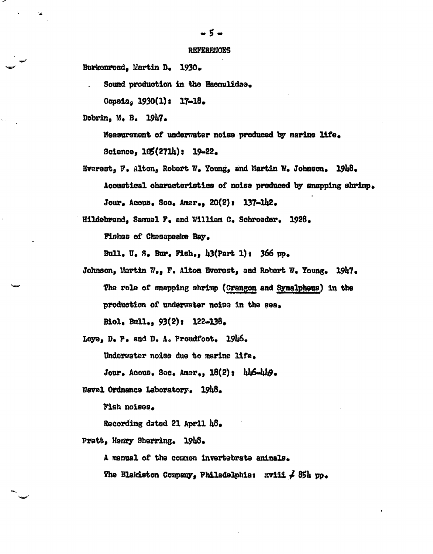**REFERENCES** 

Burkenroad, Martin D. 1930.

Sound production in the Haemulidae.

Copeia, 1930(1): 17-18.

Dobrin, M. B. 1947.

Measurement of underwater noise produced by marine life. Science,  $105(271h)$ :  $19-22$ .

- Everest, F. Alton, Robert W. Young, and Martin W. Johnson. 1948. Acoustical characteristics of noise produced by snapping shrimp. Jour. Acous. Soc. Amer.,  $20(2)$ : 137-142.
- Hildebrand, Samuel F. and William C. Schroeder. 1928.

Fishes of Chesapeake Bay.

Bull. U. S. Bur. Fish., 43(Part 1): 366 pp.

Johnson, Martin W., F. Alton Everest, and Robert W. Young. 1947. The role of snapping shrimp (Crangon and Synalpheus) in the production of underwater noise in the sea. Biol, Bull.,  $93(2)$ : 122-138.

Loye, D. P. and D. A. Proudfoot. 1946. Underwater noise due to marine life.

Jour. Acous. Soc. Amer., 18(2): hh6-hh9.

Naval Ordnance Laboratory. 1948.

Fish noises.

Recording dated 21 April 48.

Pratt, Henry Sherring. 1948.

A manual of the common invertebrate animals.

The Blakiston Company, Philadelphia:  $x \nu$ iii  $\neq 854$  pp.